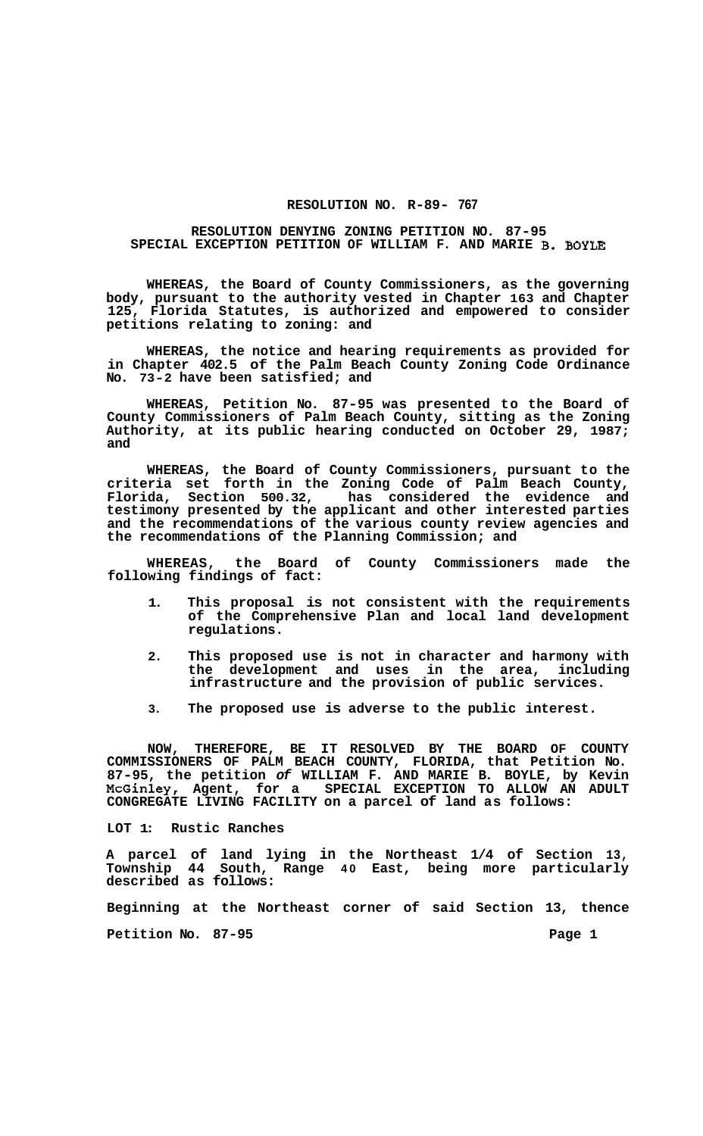## **RESOLUTION NO. R-89- 767**

## **RESOLUTION DENYING ZONING PETITION NO. 87-95 SPECIAL EXCEPTION PETITION OF WILLIAM F. AND MARIE B. BOYLE**

**WHEREAS, the Board of County Commissioners, as the governing body, pursuant to the authority vested in Chapter 163 and Chapter 125, Florida Statutes, is authorized and empowered to consider petitions relating to zoning: and** 

**WHEREAS, the notice and hearing requirements as provided for in Chapter 402.5 of the Palm Beach County Zoning Code Ordinance No. 73-2 have been satisfied; and** 

**WHEREAS, Petition No. 87-95 was presented to the Board of County Commissioners of Palm Beach County, sitting as the Zoning Authority, at its public hearing conducted on October 29, 1987; and** 

**WHEREAS, the Board of County Commissioners, pursuant to the criteria set forth in the Zoning Code of Palm Beach County, Florida, Section 500.32, has considered the evidence and testimony presented by the applicant and other interested parties and the recommendations of the various county review agencies and the recommendations of the Planning Commission; and** 

**WHEREAS, the Board of County Commissioners made the following findings of fact:** 

- **1. This proposal is not consistent with the requirements of the Comprehensive Plan and local land development regulations.**
- **2. This proposed use is not in character and harmony with the development and uses in the area, including infrastructure and the provision of public services.**
- **3. The proposed use is adverse to the public interest.**

**NOW, THEREFORE, BE IT RESOLVED BY THE BOARD OF COUNTY COMMISSIONERS OF PALM BEACH COUNTY, FLORIDA, that Petition No. 87-95, the petition** *of* **WILLIAM F. AND MARIE B. BOYLE, by Kevin McGinley, Agent, for a SPECIAL EXCEPTION TO ALLOW AN ADULT CONGREGATE LIVING FACILITY on a parcel of land as follows:** 

**LOT 1: Rustic Ranches** 

**A parcel of land lying in the Northeast 1/4 of Section 13, Township 44 South, Range 40 East, being more particularly described as follows:** 

**Beginning at the Northeast corner of said Section 13, thence** 

Petition No. 87-95 **Page 1 Page 1**